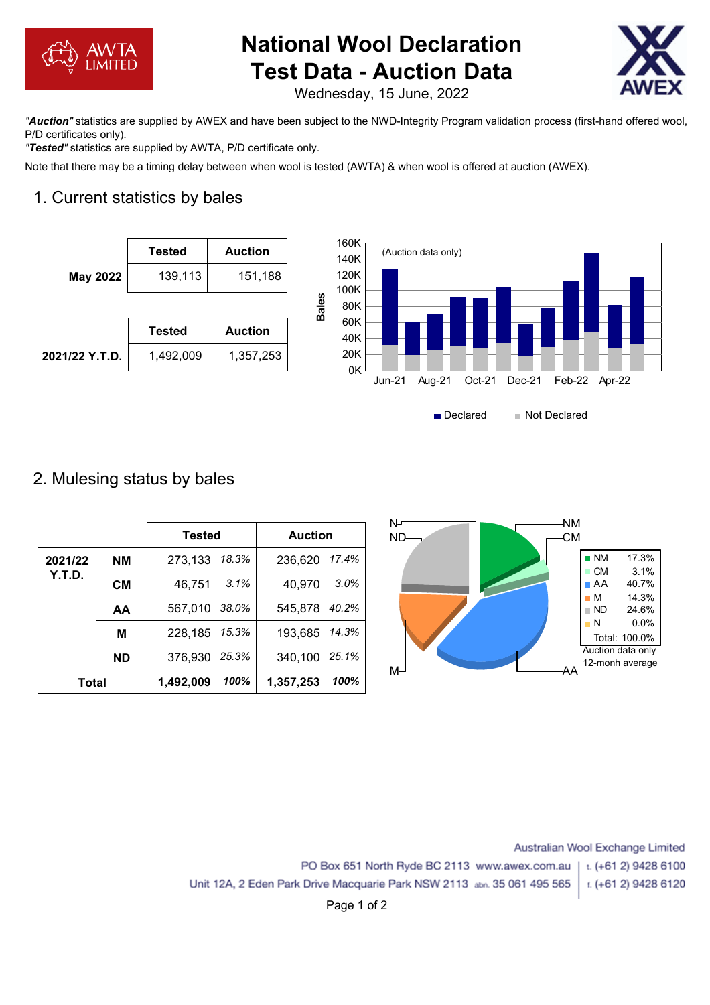

# **National Wool Declaration Test Data - Auction Data**



Wednesday, 15 June, 2022

*"Auction"* statistics are supplied by AWEX and have been subject to the NWD-Integrity Program validation process (first-hand offered wool, P/D certificates only).

*"Tested"* statistics are supplied by AWTA, P/D certificate only.

Note that there may be a timing delay between when wool is tested (AWTA) & when wool is offered at auction (AWEX).

## 1. Current statistics by bales





#### 2. Mulesing status by bales

|              |           | <b>Tested</b> |      | <b>Auction</b> |      | N۳<br>ND- | -NM<br>-CM |                                        |                                      |
|--------------|-----------|---------------|------|----------------|------|-----------|------------|----------------------------------------|--------------------------------------|
| 2021/22      | <b>NM</b> | 273,133 18.3% |      | 236,620 17.4%  |      |           |            | $\blacksquare$ NM                      | 17.3%                                |
| Y.T.D.       | <b>CM</b> | 46,751        | 3.1% | 40,970         | 3.0% |           |            | $\blacksquare$ CM<br>$\blacksquare$ AA | 3.1%<br>40.7%                        |
|              | AA        | 567,010 38.0% |      | 545,878 40.2%  |      |           |            | $\blacksquare$ M<br>$\blacksquare$ ND  | 14.3%<br>24.6%                       |
|              | M         | 228,185 15.3% |      | 193,685 14.3%  |      |           |            | $\blacksquare$ N                       | $0.0\%$<br>Total: 100.0%             |
|              | <b>ND</b> | 376,930 25.3% |      | 340,100 25.1%  |      |           |            |                                        | Auction data only<br>12-monh average |
| <b>Total</b> |           | 1,492,009     | 100% | 1,357,253      | 100% | $M-1$     | AA         |                                        |                                      |

Australian Wool Exchange Limited PO Box 651 North Ryde BC 2113 www.awex.com.au t. (+61 2) 9428 6100 Unit 12A, 2 Eden Park Drive Macquarie Park NSW 2113 abn. 35 061 495 565 t. (+61 2) 9428 6120

Page 1 of 2